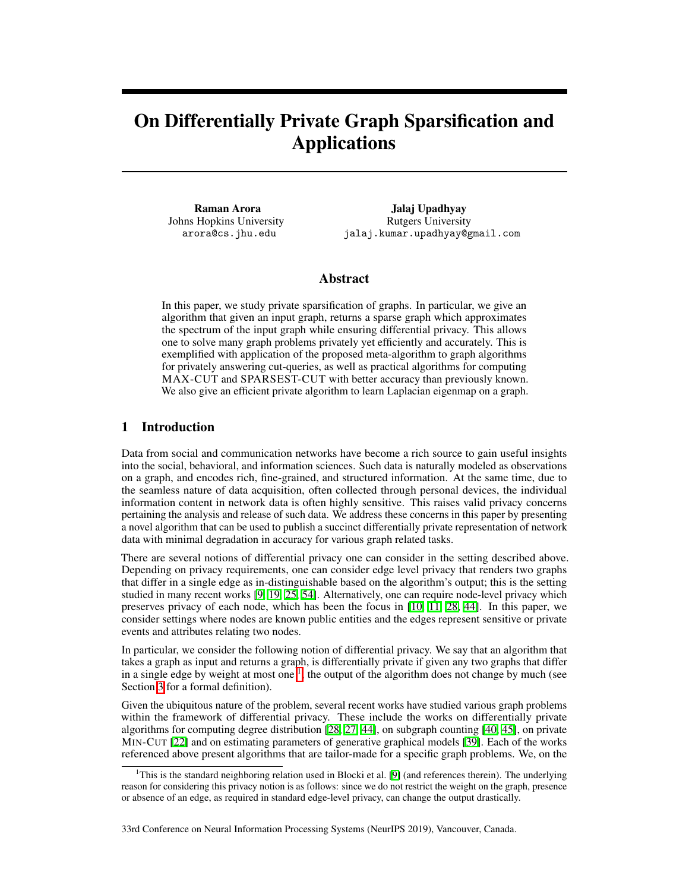# On Differentially Private Graph Sparsification and Applications

Raman Arora Johns Hopkins University arora@cs.jhu.edu

Jalaj Upadhyay Rutgers University jalaj.kumar.upadhyay@gmail.com

## Abstract

In this paper, we study private sparsification of graphs. In particular, we give an algorithm that given an input graph, returns a sparse graph which approximates the spectrum of the input graph while ensuring differential privacy. This allows one to solve many graph problems privately yet efficiently and accurately. This is exemplified with application of the proposed meta-algorithm to graph algorithms for privately answering cut-queries, as well as practical algorithms for computing MAX-CUT and SPARSEST-CUT with better accuracy than previously known. We also give an efficient private algorithm to learn Laplacian eigenmap on a graph.

# 1 Introduction

Data from social and communication networks have become a rich source to gain useful insights into the social, behavioral, and information sciences. Such data is naturally modeled as observations on a graph, and encodes rich, fine-grained, and structured information. At the same time, due to the seamless nature of data acquisition, often collected through personal devices, the individual information content in network data is often highly sensitive. This raises valid privacy concerns pertaining the analysis and release of such data. We address these concerns in this paper by presenting a novel algorithm that can be used to publish a succinct differentially private representation of network data with minimal degradation in accuracy for various graph related tasks.

There are several notions of differential privacy one can consider in the setting described above. Depending on privacy requirements, one can consider edge level privacy that renders two graphs that differ in a single edge as in-distinguishable based on the algorithm's output; this is the setting studied in many recent works  $[9, 19, 25, 54]$  $[9, 19, 25, 54]$  $[9, 19, 25, 54]$  $[9, 19, 25, 54]$  $[9, 19, 25, 54]$  $[9, 19, 25, 54]$  $[9, 19, 25, 54]$ . Alternatively, one can require node-level privacy which preserves privacy of each node, which has been the focus in  $\left[\overline{10}, \overline{11}, \overline{28}, \overline{44}\right]$ . In this paper, we consider settings where nodes are known public entities and the edges represent sensitive or private events and attributes relating two nodes.

In particular, we consider the following notion of differential privacy. We say that an algorithm that takes a graph as input and returns a graph, is differentially private if given any two graphs that differ in a single edge by weight at most one  $\frac{1}{k}$ , the output of the algorithm does not change by much (see Section  $\overline{3}$  for a formal definition).

Given the ubiquitous nature of the problem, several recent works have studied various graph problems within the framework of differential privacy. These include the works on differentially private algorithms for computing degree distribution  $[28, 27, 44]$  $[28, 27, 44]$  $[28, 27, 44]$  $[28, 27, 44]$  $[28, 27, 44]$ , on subgraph counting  $[40, 45]$  $[40, 45]$  $[40, 45]$ , on private MIN-CUT  $[22]$  and on estimating parameters of generative graphical models  $[39]$ . Each of the works referenced above present algorithms that are tailor-made for a specific graph problems. We, on the

33rd Conference on Neural Information Processing Systems (NeurIPS 2019), Vancouver, Canada.

<span id="page-0-0"></span><sup>&</sup>lt;sup>1</sup>This is the standard neighboring relation used in Blocki et al.  $[9]$  (and references therein). The underlying reason for considering this privacy notion is as follows: since we do not restrict the weight on the graph, presence or absence of an edge, as required in standard edge-level privacy, can change the output drastically.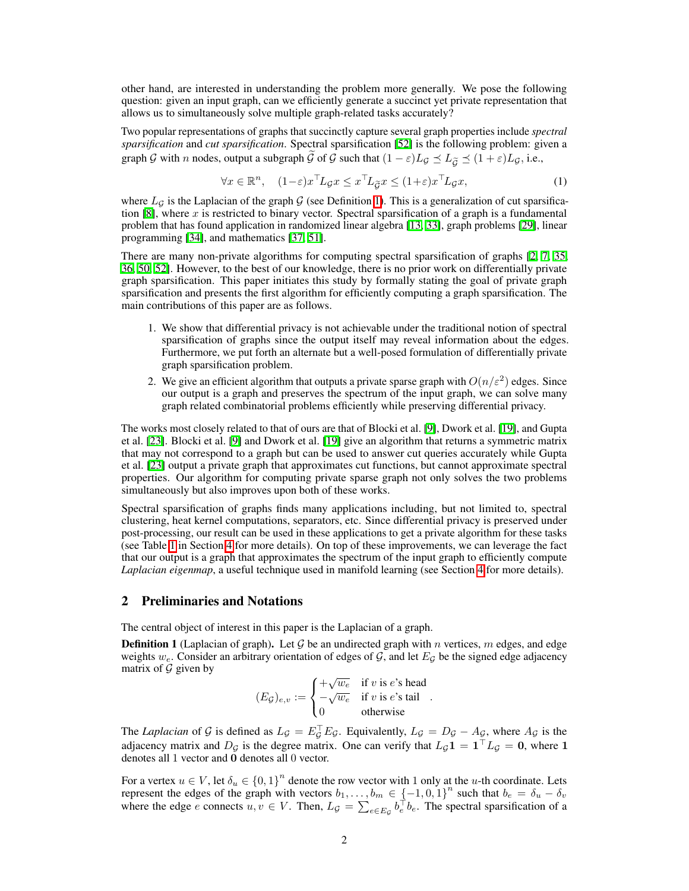other hand, are interested in understanding the problem more generally. We pose the following question: given an input graph, can we efficiently generate a succinct yet private representation that allows us to simultaneously solve multiple graph-related tasks accurately?

Two popular representations of graphs that succinctly capture several graph properties include *spectral sparsification* and *cut sparsification*. Spectral sparsification [\[52\]](#page-11-1) is the following problem: given a graph *G* with *n* nodes, output a subgraph  $\tilde{G}$  of  $G$  such that  $(1 - \varepsilon)L_G \preceq L_{\tilde{G}} \preceq (1 + \varepsilon)L_G$ , i.e.,

<span id="page-1-1"></span>
$$
\forall x \in \mathbb{R}^n, \quad (1-\varepsilon)x^\top L_{\mathcal{G}} x \le x^\top L_{\mathcal{G}} x \le (1+\varepsilon)x^\top L_{\mathcal{G}} x,\tag{1}
$$

where  $L_g$  is the Laplacian of the graph  $G$  (see Definition  $\boxed{1}$ ). This is a generalization of cut sparsification  $\mathbb{S}$ , where *x* is restricted to binary vector. Spectral sparsification of a graph is a fundamental problem that has found application in randomized linear algebra  $[13, 33]$  $[13, 33]$  $[13, 33]$ , graph problems  $[29]$ , linear programming [\[34\]](#page-10-9), and mathematics [37], [51\]](#page-11-2).

There are many non-private algorithms for computing spectral sparsification of graphs  $[2, 7, 35]$  $[2, 7, 35]$  $[2, 7, 35]$  $[2, 7, 35]$ [36,](#page-10-12) [50,](#page-11-3) [52\]](#page-11-1). However, to the best of our knowledge, there is no prior work on differentially private graph sparsification. This paper initiates this study by formally stating the goal of private graph sparsification and presents the first algorithm for efficiently computing a graph sparsification. The main contributions of this paper are as follows.

- 1. We show that differential privacy is not achievable under the traditional notion of spectral sparsification of graphs since the output itself may reveal information about the edges. Furthermore, we put forth an alternate but a well-posed formulation of differentially private graph sparsification problem.
- 2. We give an efficient algorithm that outputs a private sparse graph with  $O(n/\varepsilon^2)$  edges. Since our output is a graph and preserves the spectrum of the input graph, we can solve many graph related combinatorial problems efficiently while preserving differential privacy.

The works most closely related to that of ours are that of Blocki et al. [\[9\]](#page-9-0), Dwork et al. [\[19\]](#page-9-1), and Gupta et al. [\[23\]](#page-9-9). Blocki et al. [\[9\]](#page-9-0) and Dwork et al. [\[19\]](#page-9-1) give an algorithm that returns a symmetric matrix that may not correspond to a graph but can be used to answer cut queries accurately while Gupta et al. [\[23\]](#page-9-9) output a private graph that approximates cut functions, but cannot approximate spectral properties. Our algorithm for computing private sparse graph not only solves the two problems simultaneously but also improves upon both of these works.

Spectral sparsification of graphs finds many applications including, but not limited to, spectral clustering, heat kernel computations, separators, etc. Since differential privacy is preserved under post-processing, our result can be used in these applications to get a private algorithm for these tasks (see Table  $\overline{\Pi}$  in Section  $\overline{4}$  for more details). On top of these improvements, we can leverage the fact that our output is a graph that approximates the spectrum of the input graph to efficiently compute *Laplacian eigenmap*, a useful technique used in manifold learning (see Section  $\overline{4}$  for more details).

# 2 Preliminaries and Notations

The central object of interest in this paper is the Laplacian of a graph.

<span id="page-1-0"></span>**Definition 1** (Laplacian of graph). Let  $G$  be an undirected graph with  $n$  vertices,  $m$  edges, and edge weights  $w_e$ . Consider an arbitrary orientation of edges of  $G$ , and let  $E_G$  be the signed edge adjacency matrix of *G* given by

$$
(E_{\mathcal{G}})_{e,v} := \begin{cases} +\sqrt{w_e} & \text{if } v \text{ is } e\text{'s head} \\ -\sqrt{w_e} & \text{if } v \text{ is } e\text{'s tail} \\ 0 & \text{otherwise} \end{cases}.
$$

The *Laplacian* of *G* is defined as  $L_g = E_g^{\perp} E_g$ . Equivalently,  $L_g = D_g - A_g$ , where  $A_g$  is the adjacency matrix and  $D_g$  is the degree matrix. One can verify that  $L_g \mathbf{1} = \mathbf{1}^\top L_g = \mathbf{0}$ , where 1 denotes all 1 vector and 0 denotes all 0 vector.

For a vertex  $u \in V$ , let  $\delta_u \in \{0,1\}^n$  denote the row vector with 1 only at the *u*-th coordinate. Lets represent the edges of the graph with vectors  $b_1, \ldots, b_m \in \{-1, 0, 1\}^n$  such that  $b_e = \delta_u - \delta_v$ where the edge *e* connects  $u, v \in V$ . Then,  $L_g = \sum_{e \in E_g} b_e^{\top} b_e$ . The spectral sparsification of a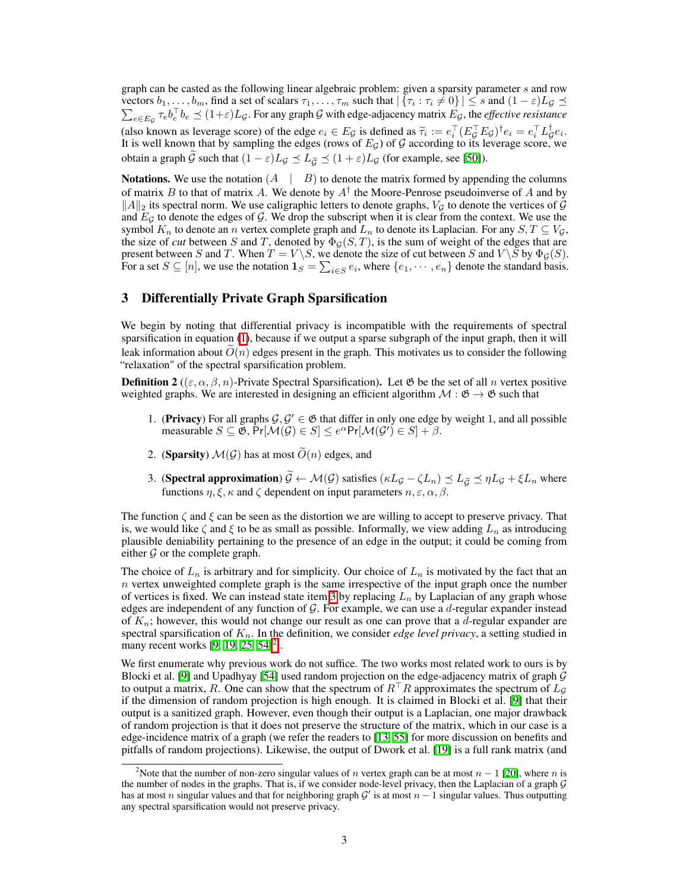graph can be casted as the following linear algebraic problem: given a sparsity parameter *s* and row vectors  $b_1, \ldots, b_m$ , find a set of scalars  $\tau_1, \ldots, \tau_m$  such that  $|\{\tau_i : \tau_i \neq 0\}| \leq s$  and  $(1 - \varepsilon)L_g \leq \sum_{i \in \mathbb{Z}} \tau_i b_i^{-} b_i \leq (1 + \varepsilon)L_g$ . For any graph G with edge-adiacency matrix  $E_G$ , the *effective resistance*  $e \in E_g \tau_e b_e^{\dagger} b_e \preceq (1+\varepsilon)L_g$ . For any graph *G* with edge-adjacency matrix  $E_g$ , the *effective resistance* (also known as leverage score) of the edge  $e_i \in E_g$  is defined as  $\tilde{\tau}_i := e_i^{\dagger} (E_g^{\dagger} E_g)^{\dagger} e_i = e_i^{\dagger} L_g^{\dagger} e_i$ .<br>It is well known that by sempling the edges (rows of  $E$ ) of  $G$  associated to its leverage score, we It is well known that by sampling the edges (rows of *EG*) of *G* according to its leverage score, we obtain a graph  $\tilde{G}$  such that  $(1 - \varepsilon)L_G \preceq L_{\tilde{G}} \preceq (1 + \varepsilon)L_G$  (for example, see [\[50\]](#page-11-3)).

Notations. We use the notation  $(A \mid B)$  to denote the matrix formed by appending the columns of matrix *B* to that of matrix *A*. We denote by *A†* the Moore-Penrose pseudoinverse of *A* and by  $\|A\|_2$  its spectral norm. We use caligraphic letters to denote graphs,  $V_G$  to denote the vertices of  $\mathcal G$ and  $E_G$  to denote the edges of  $G$ . We drop the subscript when it is clear from the context. We use the symbol  $K_n$  to denote an *n* vertex complete graph and  $L_n$  to denote its Laplacian. For any  $S, T \subseteq V_G$ , the size of *cut* between *S* and *T*, denoted by  $\Phi_G(S, T)$ , is the sum of weight of the edges that are present between *S* and *T*. When  $T = V \ S$ , we denote the size of cut between *S* and  $V \ S$  by  $\Phi_{\mathcal{G}}(S)$ . For a set  $S \subseteq [n]$ , we use the notation  $\mathbf{1}_S = \sum_{i \in S} e_i$ , where  $\{e_1, \dots, e_n\}$  denote the standard basis.

## <span id="page-2-0"></span>3 Differentially Private Graph Sparsification

We begin by noting that differential privacy is incompatible with the requirements of spectral sparsification in equation  $(\Pi)$ , because if we output a sparse subgraph of the input graph, then it will leak information about  $O(n)$  edges present in the graph. This motivates us to consider the following "relaxation" of the spectral sparsification problem.

<span id="page-2-3"></span>**Definition 2** (( $\varepsilon, \alpha, \beta, n$ )-Private Spectral Sparsification). Let  $\mathfrak{G}$  be the set of all *n* vertex positive weighted graphs. We are interested in designing an efficient algorithm  $M : \mathfrak{G} \to \mathfrak{G}$  such that

- 1. (**Privacy**) For all graphs  $\mathcal{G}, \mathcal{G}' \in \mathfrak{G}$  that differ in only one edge by weight 1, and all possible  $\text{measurable } S \subseteq \mathfrak{G}, \Pr[\mathcal{M}(\mathcal{G}) \in S] \leq e^{\alpha} \Pr[\mathcal{M}(\mathcal{G}^{\prime}) \in S] + \beta.$
- 2. (**Sparsity**)  $\mathcal{M}(G)$  has at most  $\widetilde{O}(n)$  edges, and
- <span id="page-2-1"></span>3. (Spectral approximation)  $\widetilde{G} \leftarrow \mathcal{M}(\mathcal{G})$  satisfies  $(\kappa L_{\mathcal{G}} - \zeta L_n) \preceq L_{\widetilde{G}} \preceq \eta L_{\mathcal{G}} + \zeta L_n$  where functions  $\eta, \xi, \kappa$  and  $\zeta$  dependent on input parameters  $n, \varepsilon, \alpha, \beta$ .

The function  $\zeta$  and  $\xi$  can be seen as the distortion we are willing to accept to preserve privacy. That is, we would like  $\zeta$  and  $\xi$  to be as small as possible. Informally, we view adding  $L_n$  as introducing plausible deniability pertaining to the presence of an edge in the output; it could be coming from either  $G$  or the complete graph.

The choice of  $L_n$  is arbitrary and for simplicity. Our choice of  $L_n$  is motivated by the fact that an *n* vertex unweighted complete graph is the same irrespective of the input graph once the number of vertices is fixed. We can instead state item  $3$  by replacing  $L_n$  by Laplacian of any graph whose edges are independent of any function of *G*. For example, we can use a *d*-regular expander instead of *Kn*; however, this would not change our result as one can prove that a *d*-regular expander are spectral sparsification of *Kn*. In the definition, we consider *edge level privacy*, a setting studied in many recent works  $[9, 19, 25, 54]^2$  $[9, 19, 25, 54]^2$  $[9, 19, 25, 54]^2$  $[9, 19, 25, 54]^2$  $[9, 19, 25, 54]^2$ .

We first enumerate why previous work do not suffice. The two works most related work to ours is by Blocki et al. [\[9\]](#page-9-0) and Upadhyay [\[54\]](#page-11-0) used random projection on the edge-adjacency matrix of graph *G* to output a matrix, *R*. One can show that the spectrum of  $R<sup>T</sup>R$  approximates the spectrum of  $L<sub>G</sub>$ if the dimension of random projection is high enough. It is claimed in Blocki et al.  $[9]$  that their output is a sanitized graph. However, even though their output is a Laplacian, one major drawback of random projection is that it does not preserve the structure of the matrix, which in our case is a edge-incidence matrix of a graph (we refer the readers to  $\overline{13}$ ,  $\overline{55}$ ) for more discussion on benefits and pitfalls of random projections). Likewise, the output of Dwork et al. [\[19\]](#page-9-1) is a full rank matrix (and

<span id="page-2-2"></span><sup>&</sup>lt;sup>2</sup>Note that the number of non-zero singular values of *n* vertex graph can be at most  $n - 1$  [\[20\]](#page-9-10), where *n* is the number of nodes in the graphs. That is, if we consider node-level privacy, then the Laplacian of a graph *G* has at most *n* singular values and that for neighboring graph  $G'$  is at most  $n-1$  singular values. Thus outputting any spectral sparsification would not preserve privacy.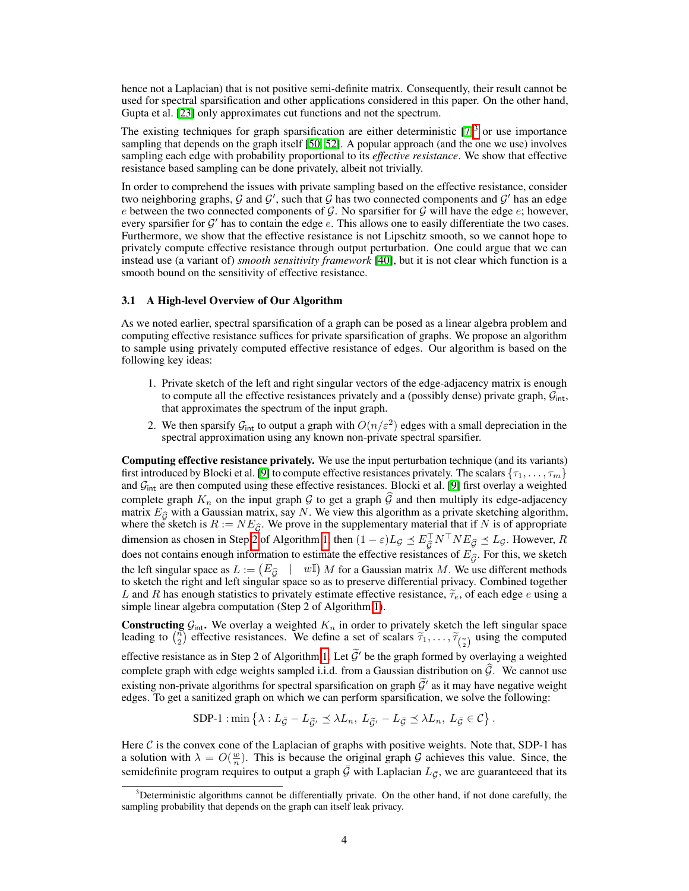hence not a Laplacian) that is not positive semi-definite matrix. Consequently, their result cannot be used for spectral sparsification and other applications considered in this paper. On the other hand, Gupta et al. [\[23\]](#page-9-9) only approximates cut functions and not the spectrum.

The existing techniques for graph sparsification are either deterministic  $\sqrt{2}$  or use importance sampling that depends on the graph itself  $[50, 52]$  $[50, 52]$  $[50, 52]$ . A popular approach (and the one we use) involves sampling each edge with probability proportional to its *effective resistance*. We show that effective resistance based sampling can be done privately, albeit not trivially.

In order to comprehend the issues with private sampling based on the effective resistance, consider two neighboring graphs,  $G$  and  $G'$ , such that  $G$  has two connected components and  $G'$  has an edge *e* between the two connected components of  $G$ . No sparsifier for  $G$  will have the edge  $e$ ; however, every sparsifier for  $G'$  has to contain the edge  $e$ . This allows one to easily differentiate the two cases. Furthermore, we show that the effective resistance is not Lipschitz smooth, so we cannot hope to privately compute effective resistance through output perturbation. One could argue that we can instead use (a variant of) *smooth sensitivity framework* [\[40\]](#page-10-4), but it is not clear which function is a smooth bound on the sensitivity of effective resistance.

### 3.1 A High-level Overview of Our Algorithm

As we noted earlier, spectral sparsification of a graph can be posed as a linear algebra problem and computing effective resistance suffices for private sparsification of graphs. We propose an algorithm to sample using privately computed effective resistance of edges. Our algorithm is based on the following key ideas:

- 1. Private sketch of the left and right singular vectors of the edge-adjacency matrix is enough to compute all the effective resistances privately and a (possibly dense) private graph, *G*int, that approximates the spectrum of the input graph.
- 2. We then sparsify  $G_{int}$  to output a graph with  $O(n/\varepsilon^2)$  edges with a small depreciation in the spectral approximation using any known non-private spectral sparsifier.

Computing effective resistance privately. We use the input perturbation technique (and its variants) first introduced by Blocki et al. [\[9\]](#page-9-0) to compute effective resistances privately. The scalars  $\{\tau_1, \ldots, \tau_m\}$ and  $G<sub>int</sub>$  are then computed using these effective resistances. Blocki et al. [\[9\]](#page-9-0) first overlay a weighted complete graph  $K_n$  on the input graph  $G$  to get a graph  $G$  and then multiply its edge-adjacency matrix  $E_{\hat{G}}$  with a Gaussian matrix, say *N*. We view this algorithm as a private sketching algorithm, where the sketch is  $R := NE_{\widehat{G}}$ . We prove in the supplementary material that if *N* is of appropriate dimension as chosen in Step [2](#page-4-0) of Algorithm  $\left| \frac{1}{\epsilon} \right|$  then  $(1 - \varepsilon)L_g \preceq E_g^{\perp} N^{\perp} N E_g^{\perp} \preceq L_g$ . However, *R* does not contains enough information to estimate the effective resistances of  $E_{\hat{G}}$ . For this, we sketch the left singular space as  $L := (E_{\widehat{G}} \mid w\mathbb{I}) M$  for a Gaussian matrix *M*. We use different methods to sketch the right and left singular space so as to preserve differential privacy. Combined together *L* and *R* has enough statistics to privately estimate effective resistance,  $\tilde{\tau}_e$ , of each edge *e* using a simple linear algebra computation (Step 2 of Algorithm  $\vert \overline{\mathbf{l}} \vert$ ).

**Constructing**  $\mathcal{G}_{int}$ . We overlay a weighted  $K_n$  in order to privately sketch the left singular space leading to  $\binom{n}{2}$  effective resistances. We define a set of scalars  $\widetilde{\tau}_1, \ldots, \widetilde{\tau}_{\binom{n}{2}}$  using the com

effective resistance as in Step 2 of Algorithm  $\boxed{1}$  Let  $\widetilde{\mathcal{G}}'$  be the graph formed by overlaying a weighted complete graph with edge weights sampled i.i.d. from a Gaussian distribution on  $\widehat{G}$ . We cannot use existing non-private algorithms for spectral sparsification on graph  $\tilde{\mathcal{G}}'$  as it may have negative weight edges. To get a sanitized graph on which we can perform sparsification, we solve the following:

SDP-1 :  $\min \{ \lambda : L_{\bar{G}} - L_{\tilde{G}'} \preceq \lambda L_n, L_{\tilde{G}'} - L_{\bar{G}} \preceq \lambda L_n, L_{\bar{G}} \in \mathcal{C} \}$ .

Here  $C$  is the convex cone of the Laplacian of graphs with positive weights. Note that, SDP-1 has a solution with  $\lambda = O(\frac{w}{n})$ . This is because the original graph *G* achieves this value. Since, the semidefinite program requires to output a graph  $\mathcal G$  with Laplacian  $L_{\mathcal G}$ , we are guaranteeed that its

<span id="page-3-0"></span> $3$ Deterministic algorithms cannot be differentially private. On the other hand, if not done carefully, the sampling probability that depends on the graph can itself leak privacy.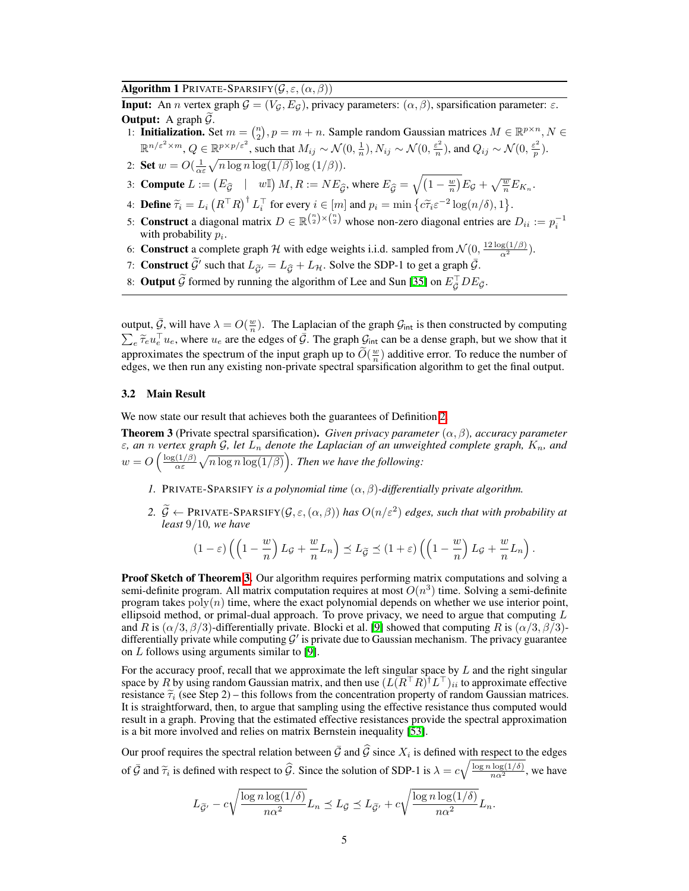Algorithm 1 PRIVATE-SPARSIFY $(G, \varepsilon, (\alpha, \beta))$ 

<span id="page-4-0"></span>**Input:** An *n* vertex graph  $G = (V_G, E_G)$ , privacy parameters:  $(\alpha, \beta)$ , sparsification parameter:  $\varepsilon$ . **Output:** A graph  $\widetilde{G}$ .

- 1: **Initialization.** Set  $m = \binom{n}{2}$ ,  $p = m + n$ . Sample random Gaussian matrices  $M \in \mathbb{R}^{p \times n}$ ,  $N \in$  $\mathbb{R}^{n/\varepsilon^2\times m}, Q\in\mathbb{R}^{p\times p/\varepsilon^2}$ , such that  $M_{ij}\sim\mathcal{N}(0,\frac{1}{n}),$   $N_{ij}\sim\mathcal{N}(0,\frac{\varepsilon^2}{n})$ , and  $Q_{ij}\sim\mathcal{N}(0,\frac{\varepsilon^2}{p})$ .
- 2: **Set**  $w = O(\frac{1}{\alpha \varepsilon} \sqrt{n \log n \log(1/\beta)} \log(1/\beta)).$
- 3: **Compute**  $L := (E_{\widehat{\mathcal{G}}} \mid w\mathbb{I}) M, R := NE_{\widehat{\mathcal{G}}}$ , where  $E_{\widehat{\mathcal{G}}} = \sqrt{(1 \frac{w}{n})} E_{\mathcal{G}} + \sqrt{\frac{w}{n}} E_{K_n}$ .
- 4: **Define**  $\widetilde{\tau}_i = L_i \left( R^\top R \right)^\dagger L_i^\top$  for every  $i \in [m]$  and  $p_i = \min \left\{ c \widetilde{\tau}_i \varepsilon^{-2} \log(n/\delta), 1 \right\}.$
- 5: **Construct** a diagonal matrix  $D \in \mathbb{R}^{\binom{n}{2} \times \binom{n}{2}}$  whose non-zero diagonal entries are  $D_{ii} := p_i^{-1}$ with probability *pi*.
- 6: **Construct** a complete graph *H* with edge weights i.i.d. sampled from  $\mathcal{N}(0, \frac{12 \log(1/\beta)}{\alpha^2})$ .
- 7: **Construct**  $\widetilde{\mathcal{G}}'$  such that  $L_{\widetilde{\mathcal{G}}'} = L_{\widehat{\mathcal{G}}} + L_{\mathcal{H}}$ . Solve the SDP-1 to get a graph  $\overline{\mathcal{G}}$ .
- 8: **Output** G formed by running the algorithm of Lee and Sun  $\left[\frac{35}{35}\right]$  on  $E_{\overline{G}}$  *DE* $_{\overline{G}}$ .

output,  $\bar{\mathcal{G}}$ , will have  $\lambda = O(\frac{w}{n})$ . The Laplacian of the graph  $\mathcal{G}_{int}$  is then constructed by computing  $\sum_{e} \widetilde{\tau}_{e} u_{e}^{\top} u_{e}$ , where  $u_{e}$  are the edges of  $\overline{\mathcal{G}}$ . The graph  $\mathcal{G}_{int}$  can be a dense graph, but we show that it approximates the spectrum of the input graph up to  $\tilde{O}(\frac{w}{n})$  additive error. To reduce the number of edges, we then run any existing non-private spectral sparsification algorithm to get the final output.

#### 3.2 Main Result

We now state our result that achieves both the guarantees of Definition  $\boxed{2}$ .

<span id="page-4-1"></span>**Theorem 3** (Private spectral sparsification). *Given privacy parameter*  $(\alpha, \beta)$ *, accuracy parameter*  $\epsilon$ , an *n* vertex graph  $\mathcal{G}$ , let  $L_n$  denote the Laplacian of an unweighted complete graph,  $K_n$ , and  $w = O\left(\frac{\log(1/\beta)}{\alpha \varepsilon}\right)$  $\frac{(1/\beta)}{\alpha \varepsilon} \sqrt{n \log n \log(1/\beta)}$ . Then we have the following:

- *1.* PRIVATE-SPARSIFY *is a polynomial time*  $(\alpha, \beta)$ -differentially private algorithm.
- 2.  $\widetilde{G} \leftarrow$  PRIVATE-SPARSIFY( $G, \varepsilon, (\alpha, \beta)$ ) has  $O(n/\varepsilon^2)$  edges, such that with probability at *least* 9*/*10*, we have*

$$
(1-\varepsilon)\left(\left(1-\frac{w}{n}\right)L_{\mathcal{G}}+\frac{w}{n}L_n\right)\preceq L_{\widetilde{\mathcal{G}}}\preceq (1+\varepsilon)\left(\left(1-\frac{w}{n}\right)L_{\mathcal{G}}+\frac{w}{n}L_n\right).
$$

**Proof Sketch of Theorem [3.](#page-4-1)** Our algorithm requires performing matrix computations and solving a semi-definite program. All matrix computation requires at most  $O(n^3)$  time. Solving a semi-definite program takes  $poly(n)$  time, where the exact polynomial depends on whether we use interior point, ellipsoid method, or primal-dual approach. To prove privacy, we need to argue that computing *L* and *R* is  $(\alpha/3, \beta/3)$ -differentially private. Blocki et al. [\[9\]](#page-9-0) showed that computing *R* is  $(\alpha/3, \beta/3)$ differentially private while computing  $G<sup>'</sup>$  is private due to Gaussian mechanism. The privacy guarantee on  $L$  follows using arguments similar to  $[9]$ .

For the accuracy proof, recall that we approximate the left singular space by *L* and the right singular space by *R* by using random Gaussian matrix, and then use  $(L(R<sup>T</sup>R)<sup>†</sup>L<sup>T</sup>)<sub>ii</sub>$  to approximate effective resistance  $\tilde{\tau}_i$  (see Step 2) – this follows from the concentration property of random Gaussian matrices. It is straightforward, then, to argue that sampling using the effective resistance thus computed would result in a graph. Proving that the estimated effective resistances provide the spectral approximation is a bit more involved and relies on matrix Bernstein inequality [\[53\]](#page-11-5).

Our proof requires the spectral relation between  $\bar{G}$  and  $\hat{G}$  since  $X_i$  is defined with respect to the edges of  $\overline{G}$  and  $\widetilde{\tau}_i$  is defined with respect to  $\widehat{G}$ . Since the solution of SDP-1 is  $\lambda = c \sqrt{\frac{\log n \log(1/\delta)}{n\alpha^2}}$ , we have

$$
L_{\tilde{\mathcal{G}}'} - c\sqrt{\frac{\log n \log(1/\delta)}{n\alpha^2}} L_n \preceq L_{\tilde{\mathcal{G}}} \preceq L_{\tilde{\mathcal{G}}'} + c\sqrt{\frac{\log n \log(1/\delta)}{n\alpha^2}} L_n.
$$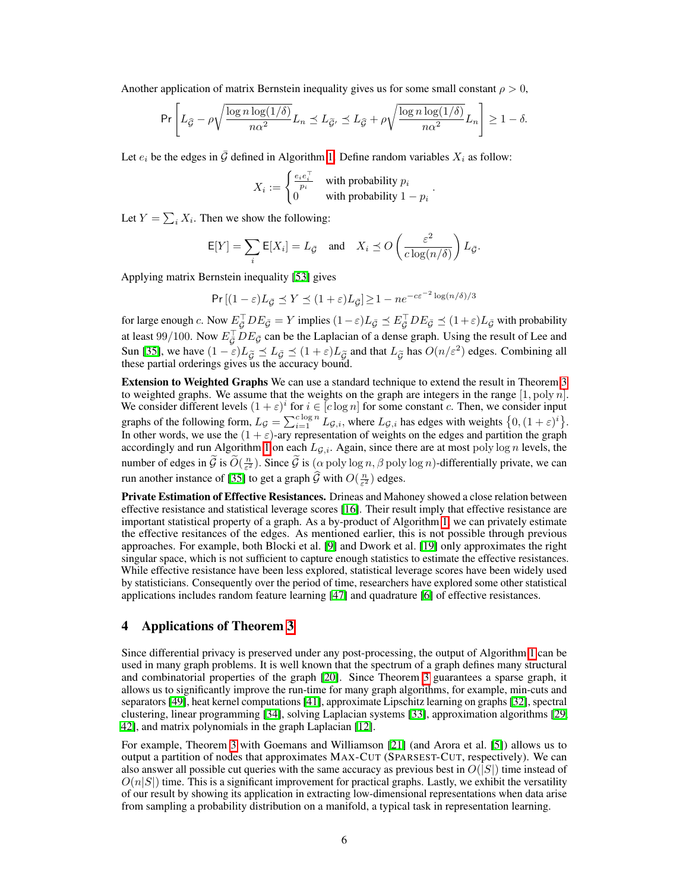Another application of matrix Bernstein inequality gives us for some small constant  $\rho > 0$ ,

$$
\Pr\left[L_{\widehat{\mathcal{G}}}-\rho\sqrt{\frac{\log n\log(1/\delta)}{n\alpha^2}}L_n\preceq L_{\widetilde{\mathcal{G}'}}\preceq L_{\widehat{\mathcal{G}}}+\rho\sqrt{\frac{\log n\log(1/\delta)}{n\alpha^2}}L_n\right]\geq 1-\delta.
$$

Let  $e_i$  be the edges in  $\bar{G}$  defined in Algorithm  $\Pi$ . Define random variables  $X_i$  as follow:

$$
X_i := \begin{cases} \frac{e_i e_i^{\top}}{p_i} & \text{with probability } p_i \\ 0 & \text{with probability } 1 - p_i \end{cases}.
$$

Let  $Y = \sum_i X_i$ . Then we show the following:

$$
\mathsf{E}[Y] = \sum_{i} \mathsf{E}[X_i] = L_{\bar{\mathcal{G}}} \quad \text{and} \quad X_i \preceq O\left(\frac{\varepsilon^2}{c \log(n/\delta)}\right) L_{\bar{\mathcal{G}}}.
$$

Applying matrix Bernstein inequality [\[53\]](#page-11-5) gives

$$
\Pr\left[(1-\varepsilon)L_{\bar{\mathcal{G}}}\preceq Y \preceq (1+\varepsilon)L_{\bar{\mathcal{G}}}\right] \ge 1 - ne^{-c\varepsilon^{-2}\log(n/\delta)/3}
$$

for large enough *c*. Now  $E_{\bar{G}}^{\perp}DE_{\bar{G}}=Y$  implies  $(1-\varepsilon)L_{\bar{G}}\preceq E_{\bar{G}}^{\perp}DE_{\bar{G}}\preceq (1+\varepsilon)L_{\bar{G}}$  with probability at least 99/100. Now  $E_{\bar{G}}^{\perp}$  *DE*<sub> $\bar{G}$ </sub> can be the Laplacian of a dense graph. Using the result of Lee and Sun [\[35\]](#page-10-11), we have  $(1 - \varepsilon)L_{\tilde{G}} \preceq L_{\bar{G}} \preceq (1 + \varepsilon)L_{\tilde{G}}$  and that  $L_{\tilde{G}}$  has  $O(n/\varepsilon^2)$  edges. Combining all these partial orderings gives us the accuracy bound.

**Extension to Weighted Graphs** We can use a standard technique to extend the result in Theorem  $\overline{3}$ to weighted graphs. We assume that the weights on the graph are integers in the range [1*,* poly *n*]. We consider different levels  $(1 + \varepsilon)^i$  for  $i \in [c \log n]$  for some constant *c*. Then, we consider input graphs of the following form,  $L_g = \sum_{i=1}^{c \log n} L_{g,i}$ , where  $L_{g,i}$  has edges with weights  $\left\{0, (1+\varepsilon)^i\right\}$ . In other words, we use the  $(1 + \varepsilon)$ -ary representation of weights on the edges and partition the graph accordingly and run Algorithm  $\boxed{1}$  on each  $L_{\mathcal{G},i}$ . Again, since there are at most poly log *n* levels, the number of edges in  $\widetilde{\mathcal{G}}$  is  $\widetilde{O}(\frac{n}{\varepsilon^2})$ . Since  $\widetilde{\mathcal{G}}$  is  $(\alpha \text{ poly}\log n, \beta \text{ poly}\log n)$ -differentially private, we can run another instance of  $\boxed{35}$  to get a graph  $\widehat{G}$  with  $O(\frac{n}{\varepsilon^2})$  edges.

Private Estimation of Effective Resistances. Drineas and Mahoney showed a close relation between effective resistance and statistical leverage scores  $\|\tilde{\mathbf{b}}\|$ . Their result imply that effective resistance are important statistical property of a graph. As a by-product of Algorithm  $\prod$ , we can privately estimate the effective resitances of the edges. As mentioned earlier, this is not possible through previous approaches. For example, both Blocki et al.  $[9]$  and Dwork et al.  $[19]$  only approximates the right singular space, which is not sufficient to capture enough statistics to estimate the effective resistances. While effective resistance have been less explored, statistical leverage scores have been widely used by statisticians. Consequently over the period of time, researchers have explored some other statistical applications includes random feature learning  $[47]$  and quadrature  $[6]$  of effective resistances.

# <span id="page-5-0"></span>4 Applications of Theorem<sup>3</sup>

Since differential privacy is preserved under any post-processing, the output of Algorithm  $\Gamma$  can be used in many graph problems. It is well known that the spectrum of a graph defines many structural and combinatorial properties of the graph  $[20]$ . Since Theorem  $[3]$  guarantees a sparse graph, it allows us to significantly improve the run-time for many graph algorithms, for example, min-cuts and separators [\[49\]](#page-11-7), heat kernel computations [\[41\]](#page-10-13), approximate Lipschitz learning on graphs [\[32\]](#page-10-14), spectral clustering, linear programming [\[34\]](#page-10-9), solving Laplacian systems [\[33\]](#page-10-7), approximation algorithms [\[29,](#page-10-8) [42\]](#page-10-15), and matrix polynomials in the graph Laplacian [\[12\]](#page-9-13).

For example, Theorem  $\overline{3}$  with Goemans and Williamson  $\overline{21}$  (and Arora et al.  $\overline{5}$ ) allows us to output a partition of nodes that approximates MAX-CUT (SPARSEST-CUT, respectively). We can also answer all possible cut queries with the same accuracy as previous best in  $O(|S|)$  time instead of  $O(n|S|)$  time. This is a significant improvement for practical graphs. Lastly, we exhibit the versatility of our result by showing its application in extracting low-dimensional representations when data arise from sampling a probability distribution on a manifold, a typical task in representation learning.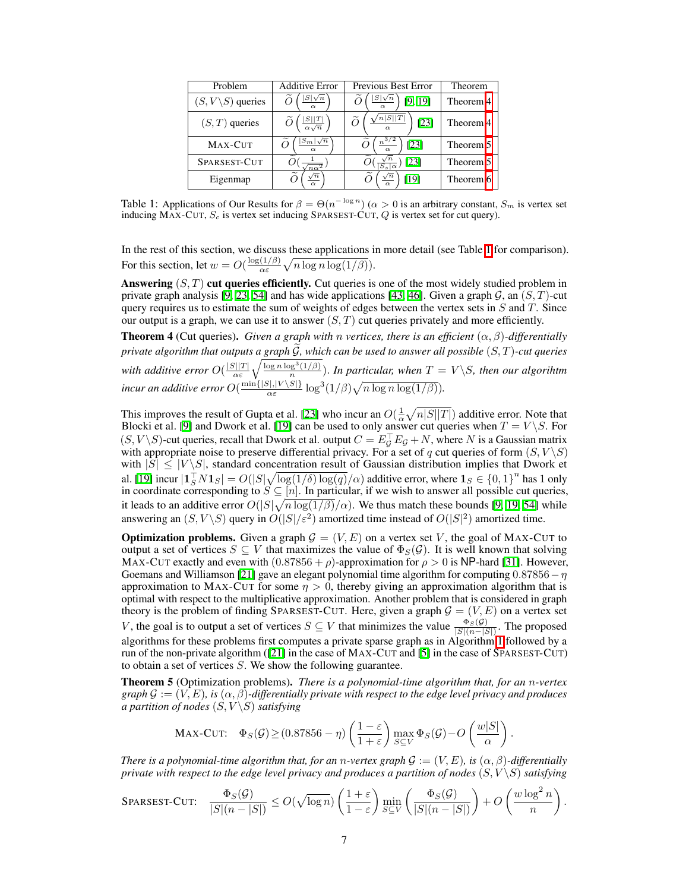<span id="page-6-0"></span>

| Problem                      |  | <b>Additive Error</b>           | Previous Best Error                          | Theorem                            |  |
|------------------------------|--|---------------------------------|----------------------------------------------|------------------------------------|--|
| $(S, V\backslash S)$ queries |  | $ S \sqrt{n}$<br>$\alpha$       | $ S \sqrt{n}$<br>$[9]$ $[19]$                | Theorem <sup><math> 4</math></sup> |  |
| $(S, T)$ queries             |  | $\frac{ S  T }{\alpha\sqrt{n}}$ | n S  T <br>[23]                              | Theorem <sup>[4]</sup>             |  |
| MAX-CUT                      |  | $S_m\sqrt{n}$<br>$\alpha$       | $n\frac{3}{2}$<br>$\mathbf{123}$<br>$\alpha$ | Theorem <sup>5</sup>               |  |
| SPARSEST-CUT                 |  | $n\alpha^2$                     | $\left 23\right $<br>$S_s \alpha$            | Theorem <sup>[5]</sup>             |  |
| Eigenmap                     |  | $\sqrt{n}$<br>$\alpha$          | $\sqrt{n}$<br>[19]<br>$\alpha$               | Theorem <sup>16</sup>              |  |

Table 1: Applications of Our Results for  $\beta = \Theta(n^{-\log n})$  ( $\alpha > 0$  is an arbitrary constant,  $S_m$  is vertex set inducing MAX-CUT, *S<sup>c</sup>* is vertex set inducing SPARSEST-CUT, *Q* is vertex set for cut query).

In the rest of this section, we discuss these applications in more detail (see Table  $\Pi$  for comparison). For this section, let  $w = O\left(\frac{\log(1/\beta)}{\alpha \varepsilon} \sqrt{n \log n \log(1/\beta)}\right)$ .

Answering (*S, T*) cut queries efficiently. Cut queries is one of the most widely studied problem in private graph analysis [\[9,](#page-9-0) [23,](#page-9-9) [54\]](#page-11-0) and has wide applications [\[43,](#page-10-16) [46\]](#page-10-17). Given a graph *G*, an (*S, T*)-cut query requires us to estimate the sum of weights of edges between the vertex sets in *S* and *T*. Since our output is a graph, we can use it to answer  $(S, T)$  cut queries privately and more efficiently.

<span id="page-6-1"></span>**Theorem 4** (Cut queries). *Given a graph with n vertices, there is an efficient*  $(\alpha, \beta)$ *-differentially private algorithm that outputs a graph G*e*, which can be used to answer all possible* (*S, T*)*-cut queries with additive error*  $O(\frac{|S||T|}{\alpha \varepsilon} \sqrt{\frac{\log n \log^3(1/\beta)}{n}})$ . In particular, when  $T = V \setminus S$ , then our algorihtm *incur an additive error*  $O(\frac{\min\{|S|, |V \setminus S|\}}{\alpha \varepsilon} \log^3(1/\beta)\sqrt{n \log n \log(1/\beta)})$ .

This improves the result of Gupta et al. [\[23\]](#page-9-9) who incur an  $O(\frac{1}{\alpha}\sqrt{n|S||T|})$  additive error. Note that Blocki et al. [\[9\]](#page-9-0) and Dwork et al. [\[19\]](#page-9-1) can be used to only answer cut queries when  $T = V \setminus S$ . For  $(S, V \setminus S)$ -cut queries, recall that Dwork et al. output  $C = E_g^{\perp} E_g + N$ , where *N* is a Gaussian matrix with appropriate noise to preserve differential privacy. For a set of *q* cut queries of form  $(S, V \setminus S)$ with  $|S| \leq |V \setminus S|$ , standard concentration result of Gaussian distribution implies that Dwork et al. [\[19\]](#page-9-1) incur  $|1_S^T N 1_S| = O(|S| \sqrt{\log(1/\delta) \log(q)}/\alpha)$  additive error, where  $1_S \in \{0,1\}^n$  has 1 only in coordinate corresponding to  $S \subseteq [n]$ . In particular, if we wish to answer all possible cut queries, it leads to an additive error  $O(|S|\sqrt{n \log(1/\beta)}/\alpha)$ . We thus match these bounds [\[9,](#page-9-0) [[19,](#page-9-1) [[54\]](#page-11-0)] while answering an  $(S, V \setminus S)$  query in  $O(|S|/\varepsilon^2)$  amortized time instead of  $O(|S|^2)$  amortized time.

**Optimization problems.** Given a graph  $G = (V, E)$  on a vertex set V, the goal of MAX-CUT to output a set of vertices  $S \subseteq V$  that maximizes the value of  $\Phi_S(\mathcal{G})$ . It is well known that solving MAX-CUT exactly and even with  $(0.87856 + \rho)$ -approximation for  $\rho > 0$  is NP-hard [\[31\]](#page-10-18). However, Goemans and Williamson  $[21]$  gave an elegant polynomial time algorithm for computing  $0.87856 - \eta$ approximation to MAX-CUT for some  $\eta > 0$ , thereby giving an approximation algorithm that is optimal with respect to the multiplicative approximation. Another problem that is considered in graph theory is the problem of finding SPARSEST-CUT. Here, given a graph  $G = (V, E)$  on a vertex set *V*, the goal is to output a set of vertices  $S \subseteq V$  that minimizes the value  $\frac{\Phi_S(\mathcal{G})}{|S|(n-|S|)}$ . The proposed algorithms for these problems first computes a private sparse graph as in Algorithm  $\prod$  followed by a run of the non-private algorithm  $(\sqrt{21})$  in the case of MAX-CUT and  $\sqrt{5}$  in the case of SPARSEST-CUT) to obtain a set of vertices *S*. We show the following guarantee.

<span id="page-6-2"></span>Theorem 5 (Optimization problems). *There is a polynomial-time algorithm that, for an n-vertex graph*  $\mathcal{G} := (V, E)$ , is  $(\alpha, \beta)$ -differentially private with respect to the edge level privacy and produces *a partition of nodes*  $(S, V \setminus S)$  *satisfying* 

$$
\text{MAX-CUT:} \quad \Phi_S(\mathcal{G}) \ge (0.87856 - \eta) \left( \frac{1-\varepsilon}{1+\varepsilon} \right) \max_{S \subseteq V} \Phi_S(\mathcal{G}) - O\left( \frac{w|S|}{\alpha} \right).
$$

*There is a polynomial-time algorithm that, for an <i>n*-vertex graph  $G := (V, E)$ , is  $(\alpha, \beta)$ -differentially *private with respect to the edge level privacy and produces a partition of nodes* (*S, V \S*) *satisfying*

$$
\text{SPARSEST-CUT:} \quad \frac{\Phi_S(\mathcal{G})}{|S|(n-|S|)} \leq O(\sqrt{\log n}) \left( \frac{1+\varepsilon}{1-\varepsilon} \right) \min_{S \subseteq V} \left( \frac{\Phi_S(\mathcal{G})}{|S|(n-|S|)} \right) + O\left( \frac{w \log^2 n}{n} \right).
$$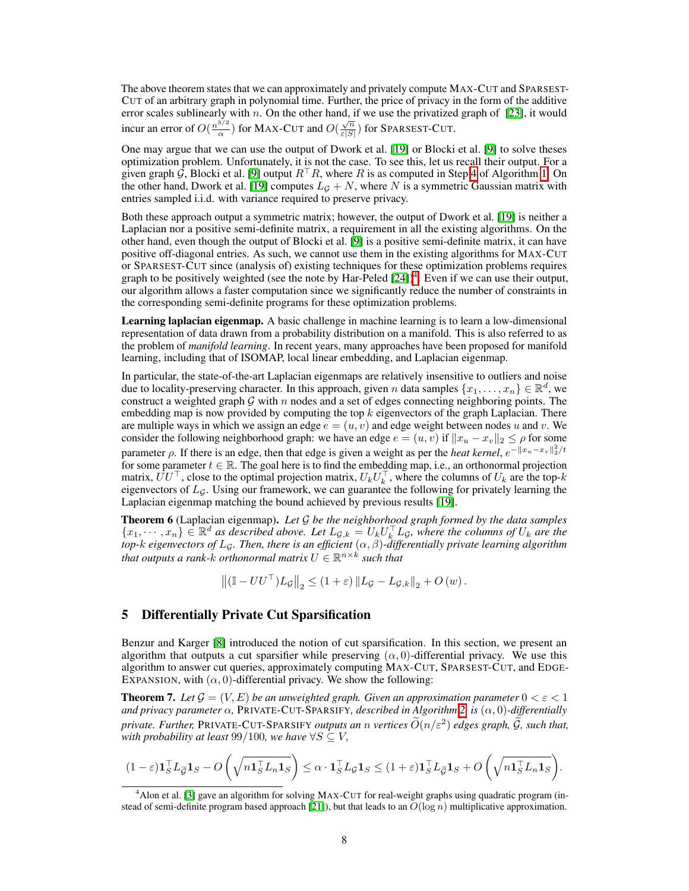The above theorem states that we can approximately and privately compute MAX-CUT and SPARSEST-CUT of an arbitrary graph in polynomial time. Further, the price of privacy in the form of the additive error scales sublinearly with *n*. On the other hand, if we use the privatized graph of  $[23]$ , it would incur an error of  $O(\frac{n^{3/2}}{\alpha})$  for MAX-CUT and  $O(\frac{\sqrt{n}}{\epsilon|S|})$  for SPARSEST-CUT.

One may argue that we can use the output of Dwork et al.  $[19]$  or Blocki et al.  $[9]$  to solve theses optimization problem. Unfortunately, it is not the case. To see this, let us recall their output. For a given graph  $\hat{G}$ , Blocki et al. [\[9\]](#page-9-0) output  $R^{\top}R$ , where R is as computed in Step [4](#page-4-0) of Algorithm [1.](#page-4-0) On the other hand, Dwork et al. **[\[19\]](#page-9-1)** computes  $L_G + N$ , where N is a symmetric Gaussian matrix with entries sampled i.i.d. with variance required to preserve privacy.

Both these approach output a symmetric matrix; however, the output of Dwork et al. [\[19\]](#page-9-1) is neither a Laplacian nor a positive semi-definite matrix, a requirement in all the existing algorithms. On the other hand, even though the output of Blocki et al.  $[9]$  is a positive semi-definite matrix, it can have positive off-diagonal entries. As such, we cannot use them in the existing algorithms for MAX-CUT or SPARSEST-CUT since (analysis of) existing techniques for these optimization problems requires graph to be positively weighted (see the note by Har-Peled  $[24]$ )<sup>4</sup>. Even if we can use their output, our algorithm allows a faster computation since we significantly reduce the number of constraints in the corresponding semi-definite programs for these optimization problems.

Learning laplacian eigenmap. A basic challenge in machine learning is to learn a low-dimensional representation of data drawn from a probability distribution on a manifold. This is also referred to as the problem of *manifold learning*. In recent years, many approaches have been proposed for manifold learning, including that of ISOMAP, local linear embedding, and Laplacian eigenmap.

In particular, the state-of-the-art Laplacian eigenmaps are relatively insensitive to outliers and noise due to locality-preserving character. In this approach, given *n* data samples  $\{x_1, \ldots, x_n\} \in \mathbb{R}^d$ , we construct a weighted graph *G* with *n* nodes and a set of edges connecting neighboring points. The embedding map is now provided by computing the top *k* eigenvectors of the graph Laplacian. There are multiple ways in which we assign an edge  $e = (u, v)$  and edge weight between nodes u and v. We consider the following neighborhood graph: we have an edge  $e = (u, v)$  if  $||x_u - x_v||_2 \leq \rho$  for some parameter  $\rho$ . If there is an edge, then that edge is given a weight as per the *heat kernel*,  $e^{-\|x_u - x_v\|_2^2/t}$ for some parameter  $t \in \mathbb{R}$ . The goal here is to find the embedding map, i.e., an orthonormal projection matrix,  $UU^{\dagger}$ , close to the optimal projection matrix,  $U_kU_k^{\dagger}$ , where the columns of  $U_k$  are the top-*k* eigenvectors of *LG*. Using our framework, we can guarantee the following for privately learning the Laplacian eigenmap matching the bound achieved by previous results [\[19\]](#page-9-1).

<span id="page-7-0"></span>Theorem 6 (Laplacian eigenmap). *Let G be the neighborhood graph formed by the data samples*  $\{x_1,\dots,x_n\}\in\mathbb{R}^d$  as described above. Let  $L_{\mathcal{G},k}=U_kU_k^\top L_{\mathcal{G}}$ , where the columns of  $U_k$  are the  $top$ - $k$   $e$ igenvectors of  $L_{{\mathcal G}}.$  Then, there is an efficient  $(\alpha,\beta)$ -differentially private learning algorithm *that outputs a rank-k orthonormal matrix*  $U \in \mathbb{R}^{n \times k}$  *such that* 

$$
\left\| \left( \mathbb{I} - U U^\top \right) L_{\mathcal{G}} \right\|_2 \leq \left( 1 + \varepsilon \right) \left\| L_{\mathcal{G}} - L_{\mathcal{G},k} \right\|_2 + O \left( w \right).
$$

# 5 Differentially Private Cut Sparsification

Benzur and Karger [\[8\]](#page-9-5) introduced the notion of cut sparsification. In this section, we present an algorithm that outputs a cut sparsifier while preserving  $(\alpha, 0)$ -differential privacy. We use this algorithm to answer cut queries, approximately computing MAX-CUT, SPARSEST-CUT, and EDGE-EXPANSION, with  $(\alpha, 0)$ -differential privacy. We show the following:

**Theorem 7.** Let  $\mathcal{G} = (V, E)$  be an unweighted graph. Given an approximation parameter  $0 < \varepsilon < 1$ *and privacy parameter*  $\alpha$ , PRIVATE-CUT-SPARSIFY, *described in Algorithm*  $2$  *is*  $(\alpha, 0)$ *-differentially private. Further,* PRIVATE-CUT-SPARSIFY *outputs an n vertices*  $\widetilde{O}(n/\varepsilon^2)$  *edges graph,*  $\widetilde{G}$ *, such that, with probability at least* 99/100*, we have*  $\forall S \subseteq V$ *,* 

$$
(1-\varepsilon)\mathbf{1}_S^\top L_{\widetilde{\mathcal{G}}}\mathbf{1}_S - O\left(\sqrt{n\mathbf{1}_S^\top L_n \mathbf{1}_S}\right) \leq \alpha \cdot \mathbf{1}_S^\top L_{\mathcal{G}}\mathbf{1}_S \leq (1+\varepsilon)\mathbf{1}_S^\top L_{\widetilde{\mathcal{G}}}\mathbf{1}_S + O\left(\sqrt{n\mathbf{1}_S^\top L_n \mathbf{1}_S}\right).
$$

<span id="page-7-1"></span><sup>&</sup>lt;sup>4</sup> Alon et al. **[\[3\]](#page-9-16)** gave an algorithm for solving MAX-CUT for real-weight graphs using quadratic program (instead of semi-definite program based approach  $[21]$ ), but that leads to an  $O(\log n)$  multiplicative approximation.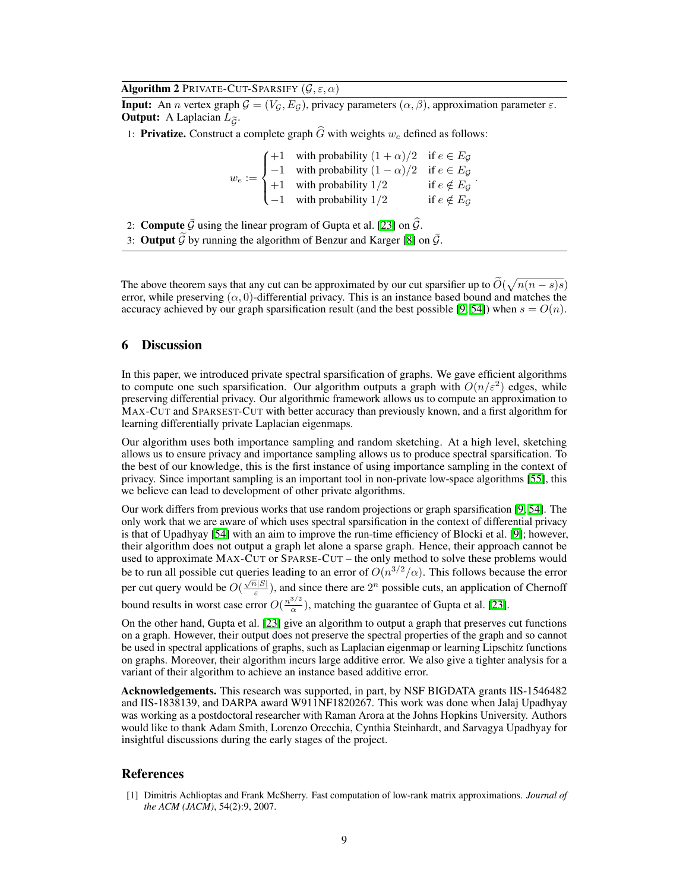Algorithm 2 PRIVATE-CUT-SPARSIFY  $(\mathcal{G}, \varepsilon, \alpha)$ 

<span id="page-8-0"></span>**Input:** An *n* vertex graph  $G = (V_G, E_G)$ , privacy parameters  $(\alpha, \beta)$ , approximation parameter  $\varepsilon$ . **Output:** A Laplacian  $\hat{L}_{\tilde{G}}$ .

1: **Privatize.** Construct a complete graph  $\widehat{G}$  with weights  $w_e$  defined as follows:

 $w_e :=$  $\sqrt{2}$  $\Big\}$  $\downarrow$ +1 with probability  $(1 + \alpha)/2$  if  $e \in E_G$  $-1$  with probability  $(1 - \alpha)/2$  if  $e \in E_G$ +1 with probability  $1/2$  if  $e \notin E_{\mathcal{G}}$  $-1$  with probability  $1/2$  if  $e \notin E_{\mathcal{G}}$ *.*

2: **Compute**  $\bar{G}$  using the linear program of Gupta et al. [\[23\]](#page-9-9) on  $\bar{G}$ .

3: **Output**  $\tilde{G}$  by running the algorithm of Benzur and Karger  $\mathbb{S}$  on  $\bar{G}$ .

The above theorem says that any cut can be approximated by our cut sparsifier up to  $\tilde{O}(\sqrt{n(n-s)s})$ error, while preserving  $(\alpha, 0)$ -differential privacy. This is an instance based bound and matches the accuracy achieved by our graph sparsification result (and the best possible  $[9, 54]$  $[9, 54]$ ) when  $s = O(n)$ .

## 6 Discussion

In this paper, we introduced private spectral sparsification of graphs. We gave efficient algorithms to compute one such sparsification. Our algorithm outputs a graph with  $O(n/\varepsilon^2)$  edges, while preserving differential privacy. Our algorithmic framework allows us to compute an approximation to MAX-CUT and SPARSEST-CUT with better accuracy than previously known, and a first algorithm for learning differentially private Laplacian eigenmaps.

Our algorithm uses both importance sampling and random sketching. At a high level, sketching allows us to ensure privacy and importance sampling allows us to produce spectral sparsification. To the best of our knowledge, this is the first instance of using importance sampling in the context of privacy. Since important sampling is an important tool in non-private low-space algorithms [\[55\]](#page-11-4), this we believe can lead to development of other private algorithms.

Our work differs from previous works that use random projections or graph sparsification  $[9, 54]$  $[9, 54]$  $[9, 54]$ . The only work that we are aware of which uses spectral sparsification in the context of differential privacy is that of Upadhyay  $[54]$  with an aim to improve the run-time efficiency of Blocki et al.  $[9]$ ; however, their algorithm does not output a graph let alone a sparse graph. Hence, their approach cannot be used to approximate MAX-CUT or SPARSE-CUT – the only method to solve these problems would be to run all possible cut queries leading to an error of  $O(n^{3/2}/\alpha)$ . This follows because the error per cut query would be  $O(\frac{\sqrt{n}|S|}{\varepsilon})$ , and since there are  $2^n$  possible cuts, an application of Chernoff bound results in worst case error  $O(\frac{n^{3/2}}{\alpha})$ , matching the guarantee of Gupta et al. [\[23\]](#page-9-9).

On the other hand, Gupta et al.  $[23]$  give an algorithm to output a graph that preserves cut functions on a graph. However, their output does not preserve the spectral properties of the graph and so cannot be used in spectral applications of graphs, such as Laplacian eigenmap or learning Lipschitz functions on graphs. Moreover, their algorithm incurs large additive error. We also give a tighter analysis for a variant of their algorithm to achieve an instance based additive error.

Acknowledgements. This research was supported, in part, by NSF BIGDATA grants IIS-1546482 and IIS-1838139, and DARPA award W911NF1820267. This work was done when Jalaj Upadhyay was working as a postdoctoral researcher with Raman Arora at the Johns Hopkins University. Authors would like to thank Adam Smith, Lorenzo Orecchia, Cynthia Steinhardt, and Sarvagya Upadhyay for insightful discussions during the early stages of the project.

#### References

[1] Dimitris Achlioptas and Frank McSherry. Fast computation of low-rank matrix approximations. *Journal of the ACM (JACM)*, 54(2):9, 2007.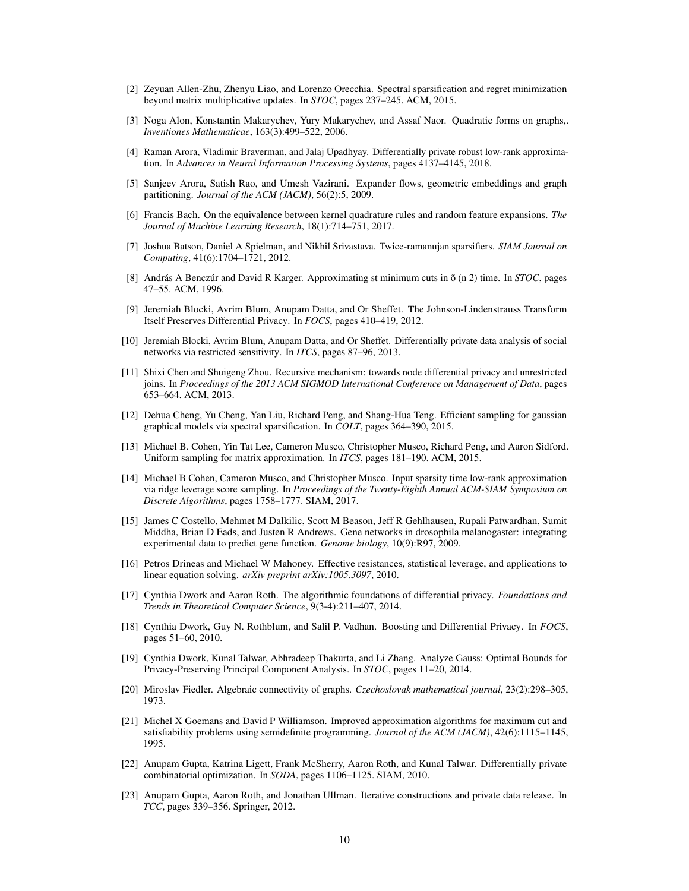- <span id="page-9-7"></span>[2] Zeyuan Allen-Zhu, Zhenyu Liao, and Lorenzo Orecchia. Spectral sparsification and regret minimization beyond matrix multiplicative updates. In *STOC*, pages 237–245. ACM, 2015.
- <span id="page-9-16"></span>[3] Noga Alon, Konstantin Makarychev, Yury Makarychev, and Assaf Naor. Quadratic forms on graphs,. *Inventiones Mathematicae*, 163(3):499–522, 2006.
- [4] Raman Arora, Vladimir Braverman, and Jalaj Upadhyay. Differentially private robust low-rank approximation. In *Advances in Neural Information Processing Systems*, pages 4137–4145, 2018.
- <span id="page-9-15"></span>[5] Sanjeev Arora, Satish Rao, and Umesh Vazirani. Expander flows, geometric embeddings and graph partitioning. *Journal of the ACM (JACM)*, 56(2):5, 2009.
- <span id="page-9-12"></span>[6] Francis Bach. On the equivalence between kernel quadrature rules and random feature expansions. *The Journal of Machine Learning Research*, 18(1):714–751, 2017.
- <span id="page-9-8"></span>[7] Joshua Batson, Daniel A Spielman, and Nikhil Srivastava. Twice-ramanujan sparsifiers. *SIAM Journal on Computing*, 41(6):1704–1721, 2012.
- <span id="page-9-5"></span>[8] András A Benczúr and David R Karger. Approximating st minimum cuts in õ (n 2) time. In *STOC*, pages 47–55. ACM, 1996.
- <span id="page-9-0"></span>[9] Jeremiah Blocki, Avrim Blum, Anupam Datta, and Or Sheffet. The Johnson-Lindenstrauss Transform Itself Preserves Differential Privacy. In *FOCS*, pages 410–419, 2012.
- <span id="page-9-2"></span>[10] Jeremiah Blocki, Avrim Blum, Anupam Datta, and Or Sheffet. Differentially private data analysis of social networks via restricted sensitivity. In *ITCS*, pages 87–96, 2013.
- <span id="page-9-3"></span>[11] Shixi Chen and Shuigeng Zhou. Recursive mechanism: towards node differential privacy and unrestricted joins. In *Proceedings of the 2013 ACM SIGMOD International Conference on Management of Data*, pages 653–664. ACM, 2013.
- <span id="page-9-13"></span>[12] Dehua Cheng, Yu Cheng, Yan Liu, Richard Peng, and Shang-Hua Teng. Efficient sampling for gaussian graphical models via spectral sparsification. In *COLT*, pages 364–390, 2015.
- <span id="page-9-6"></span>[13] Michael B. Cohen, Yin Tat Lee, Cameron Musco, Christopher Musco, Richard Peng, and Aaron Sidford. Uniform sampling for matrix approximation. In *ITCS*, pages 181–190. ACM, 2015.
- [14] Michael B Cohen, Cameron Musco, and Christopher Musco. Input sparsity time low-rank approximation via ridge leverage score sampling. In *Proceedings of the Twenty-Eighth Annual ACM-SIAM Symposium on Discrete Algorithms*, pages 1758–1777. SIAM, 2017.
- [15] James C Costello, Mehmet M Dalkilic, Scott M Beason, Jeff R Gehlhausen, Rupali Patwardhan, Sumit Middha, Brian D Eads, and Justen R Andrews. Gene networks in drosophila melanogaster: integrating experimental data to predict gene function. *Genome biology*, 10(9):R97, 2009.
- <span id="page-9-11"></span>[16] Petros Drineas and Michael W Mahoney. Effective resistances, statistical leverage, and applications to linear equation solving. *arXiv preprint arXiv:1005.3097*, 2010.
- [17] Cynthia Dwork and Aaron Roth. The algorithmic foundations of differential privacy. *Foundations and Trends in Theoretical Computer Science*, 9(3-4):211–407, 2014.
- [18] Cynthia Dwork, Guy N. Rothblum, and Salil P. Vadhan. Boosting and Differential Privacy. In *FOCS*, pages 51–60, 2010.
- <span id="page-9-1"></span>[19] Cynthia Dwork, Kunal Talwar, Abhradeep Thakurta, and Li Zhang. Analyze Gauss: Optimal Bounds for Privacy-Preserving Principal Component Analysis. In *STOC*, pages 11–20, 2014.
- <span id="page-9-10"></span>[20] Miroslav Fiedler. Algebraic connectivity of graphs. *Czechoslovak mathematical journal*, 23(2):298–305, 1973.
- <span id="page-9-14"></span>[21] Michel X Goemans and David P Williamson. Improved approximation algorithms for maximum cut and satisfiability problems using semidefinite programming. *Journal of the ACM (JACM)*, 42(6):1115–1145, 1995.
- <span id="page-9-4"></span>[22] Anupam Gupta, Katrina Ligett, Frank McSherry, Aaron Roth, and Kunal Talwar. Differentially private combinatorial optimization. In *SODA*, pages 1106–1125. SIAM, 2010.
- <span id="page-9-9"></span>[23] Anupam Gupta, Aaron Roth, and Jonathan Ullman. Iterative constructions and private data release. In *TCC*, pages 339–356. Springer, 2012.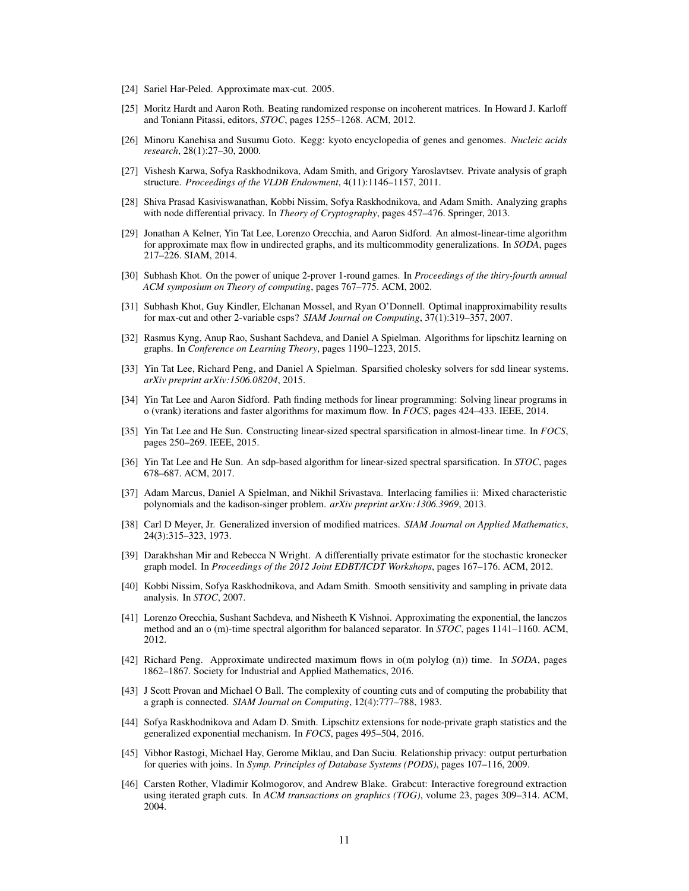- <span id="page-10-19"></span>[24] Sariel Har-Peled. Approximate max-cut. 2005.
- <span id="page-10-0"></span>[25] Moritz Hardt and Aaron Roth. Beating randomized response on incoherent matrices. In Howard J. Karloff and Toniann Pitassi, editors, *STOC*, pages 1255–1268. ACM, 2012.
- [26] Minoru Kanehisa and Susumu Goto. Kegg: kyoto encyclopedia of genes and genomes. *Nucleic acids research*, 28(1):27–30, 2000.
- <span id="page-10-3"></span>[27] Vishesh Karwa, Sofya Raskhodnikova, Adam Smith, and Grigory Yaroslavtsev. Private analysis of graph structure. *Proceedings of the VLDB Endowment*, 4(11):1146–1157, 2011.
- <span id="page-10-1"></span>[28] Shiva Prasad Kasiviswanathan, Kobbi Nissim, Sofya Raskhodnikova, and Adam Smith. Analyzing graphs with node differential privacy. In *Theory of Cryptography*, pages 457–476. Springer, 2013.
- <span id="page-10-8"></span>[29] Jonathan A Kelner, Yin Tat Lee, Lorenzo Orecchia, and Aaron Sidford. An almost-linear-time algorithm for approximate max flow in undirected graphs, and its multicommodity generalizations. In *SODA*, pages 217–226. SIAM, 2014.
- [30] Subhash Khot. On the power of unique 2-prover 1-round games. In *Proceedings of the thiry-fourth annual ACM symposium on Theory of computing*, pages 767–775. ACM, 2002.
- <span id="page-10-18"></span>[31] Subhash Khot, Guy Kindler, Elchanan Mossel, and Ryan O'Donnell. Optimal inapproximability results for max-cut and other 2-variable csps? *SIAM Journal on Computing*, 37(1):319–357, 2007.
- <span id="page-10-14"></span>[32] Rasmus Kyng, Anup Rao, Sushant Sachdeva, and Daniel A Spielman. Algorithms for lipschitz learning on graphs. In *Conference on Learning Theory*, pages 1190–1223, 2015.
- <span id="page-10-7"></span>[33] Yin Tat Lee, Richard Peng, and Daniel A Spielman. Sparsified cholesky solvers for sdd linear systems. *arXiv preprint arXiv:1506.08204*, 2015.
- <span id="page-10-9"></span>[34] Yin Tat Lee and Aaron Sidford. Path finding methods for linear programming: Solving linear programs in o (vrank) iterations and faster algorithms for maximum flow. In *FOCS*, pages 424–433. IEEE, 2014.
- <span id="page-10-11"></span>[35] Yin Tat Lee and He Sun. Constructing linear-sized spectral sparsification in almost-linear time. In *FOCS*, pages 250–269. IEEE, 2015.
- <span id="page-10-12"></span>[36] Yin Tat Lee and He Sun. An sdp-based algorithm for linear-sized spectral sparsification. In *STOC*, pages 678–687. ACM, 2017.
- <span id="page-10-10"></span>[37] Adam Marcus, Daniel A Spielman, and Nikhil Srivastava. Interlacing families ii: Mixed characteristic polynomials and the kadison-singer problem. *arXiv preprint arXiv:1306.3969*, 2013.
- [38] Carl D Meyer, Jr. Generalized inversion of modified matrices. *SIAM Journal on Applied Mathematics*, 24(3):315–323, 1973.
- <span id="page-10-6"></span>[39] Darakhshan Mir and Rebecca N Wright. A differentially private estimator for the stochastic kronecker graph model. In *Proceedings of the 2012 Joint EDBT/ICDT Workshops*, pages 167–176. ACM, 2012.
- <span id="page-10-4"></span>[40] Kobbi Nissim, Sofya Raskhodnikova, and Adam Smith. Smooth sensitivity and sampling in private data analysis. In *STOC*, 2007.
- <span id="page-10-13"></span>[41] Lorenzo Orecchia, Sushant Sachdeva, and Nisheeth K Vishnoi. Approximating the exponential, the lanczos method and an o (m)-time spectral algorithm for balanced separator. In *STOC*, pages 1141–1160. ACM, 2012.
- <span id="page-10-15"></span>[42] Richard Peng. Approximate undirected maximum flows in o(m polylog (n)) time. In *SODA*, pages 1862–1867. Society for Industrial and Applied Mathematics, 2016.
- <span id="page-10-16"></span>[43] J Scott Provan and Michael O Ball. The complexity of counting cuts and of computing the probability that a graph is connected. *SIAM Journal on Computing*, 12(4):777–788, 1983.
- <span id="page-10-2"></span>[44] Sofya Raskhodnikova and Adam D. Smith. Lipschitz extensions for node-private graph statistics and the generalized exponential mechanism. In *FOCS*, pages 495–504, 2016.
- <span id="page-10-5"></span>[45] Vibhor Rastogi, Michael Hay, Gerome Miklau, and Dan Suciu. Relationship privacy: output perturbation for queries with joins. In *Symp. Principles of Database Systems (PODS)*, pages 107–116, 2009.
- <span id="page-10-17"></span>[46] Carsten Rother, Vladimir Kolmogorov, and Andrew Blake. Grabcut: Interactive foreground extraction using iterated graph cuts. In *ACM transactions on graphics (TOG)*, volume 23, pages 309–314. ACM, 2004.